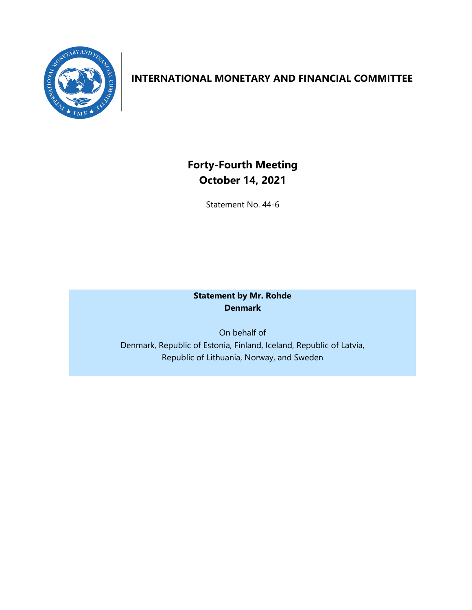

# **INTERNATIONAL MONETARY AND FINANCIAL COMMITTEE**

**Forty-Fourth Meeting October 14, 2021**

Statement No. 44-6

# **Statement by Mr. Rohde Denmark**

On behalf of Denmark, Republic of Estonia, Finland, Iceland, Republic of Latvia, Republic of Lithuania, Norway, and Sweden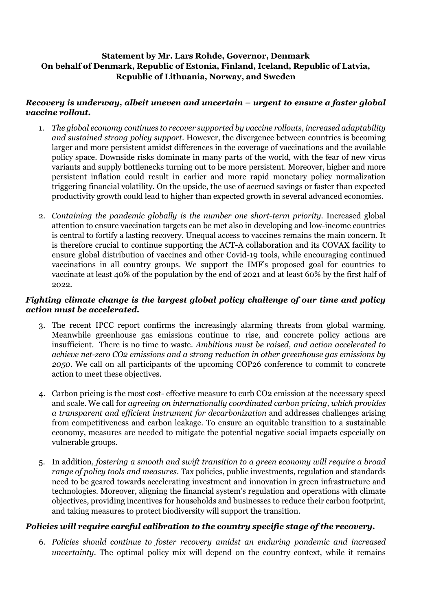# **Statement by Mr. Lars Rohde, Governor, Denmark On behalf of Denmark, Republic of Estonia, Finland, Iceland, Republic of Latvia, Republic of Lithuania, Norway, and Sweden**

## *Recovery is underway, albeit uneven and uncertain – urgent to ensure a faster global vaccine rollout.*

- 1. *The global economy continues to recover supported by vaccine rollouts, increased adaptability and sustained strong policy support*. However, the divergence between countries is becoming larger and more persistent amidst differences in the coverage of vaccinations and the available policy space. Downside risks dominate in many parts of the world, with the fear of new virus variants and supply bottlenecks turning out to be more persistent. Moreover, higher and more persistent inflation could result in earlier and more rapid monetary policy normalization triggering financial volatility. On the upside, the use of accrued savings or faster than expected productivity growth could lead to higher than expected growth in several advanced economies.
- 2. *Containing the pandemic globally is the number one short-term priority.* Increased global attention to ensure vaccination targets can be met also in developing and low-income countries is central to fortify a lasting recovery. Unequal access to vaccines remains the main concern. It is therefore crucial to continue supporting the ACT-A collaboration and its COVAX facility to ensure global distribution of vaccines and other Covid-19 tools, while encouraging continued vaccinations in all country groups. We support the IMF's proposed goal for countries to vaccinate at least 40% of the population by the end of 2021 and at least 60% by the first half of 2022.

## *Fighting climate change is the largest global policy challenge of our time and policy action must be accelerated.*

- 3. The recent IPCC report confirms the increasingly alarming threats from global warming. Meanwhile greenhouse gas emissions continue to rise, and concrete policy actions are insufficient. There is no time to waste. *Ambitions must be raised, and action accelerated to achieve net-zero CO2 emissions and a strong reduction in other greenhouse gas emissions by 2050.* We call on all participants of the upcoming COP26 conference to commit to concrete action to meet these objectives.
- 4. Carbon pricing is the most cost- effective measure to curb CO2 emission at the necessary speed and scale. We call for *agreeing on internationally coordinated carbon pricing, which provides a transparent and efficient instrument for decarbonization* and addresses challenges arising from competitiveness and carbon leakage. To ensure an equitable transition to a sustainable economy, measures are needed to mitigate the potential negative social impacts especially on vulnerable groups.
- 5. In addition*, fostering a smooth and swift transition to a green economy will require a broad range of policy tools and measures*. Tax policies, public investments, regulation and standards need to be geared towards accelerating investment and innovation in green infrastructure and technologies. Moreover, aligning the financial system's regulation and operations with climate objectives, providing incentives for households and businesses to reduce their carbon footprint, and taking measures to protect biodiversity will support the transition.

## *Policies will require careful calibration to the country specific stage of the recovery.*

6. *Policies should continue to foster recovery amidst an enduring pandemic and increased uncertainty*. The optimal policy mix will depend on the country context, while it remains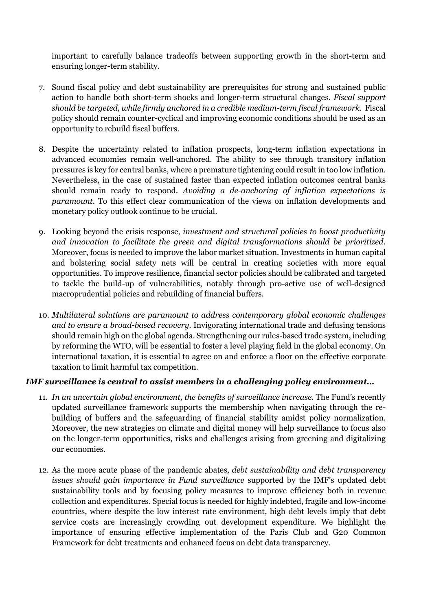important to carefully balance tradeoffs between supporting growth in the short-term and ensuring longer-term stability.

- 7. Sound fiscal policy and debt sustainability are prerequisites for strong and sustained public action to handle both short-term shocks and longer-term structural changes. *Fiscal support should be targeted, while firmly anchored in a credible medium-term fiscal framework*. Fiscal policy should remain counter-cyclical and improving economic conditions should be used as an opportunity to rebuild fiscal buffers.
- 8. Despite the uncertainty related to inflation prospects, long-term inflation expectations in advanced economies remain well-anchored. The ability to see through transitory inflation pressures is key for central banks, where a premature tightening could result in too low inflation. Nevertheless, in the case of sustained faster than expected inflation outcomes central banks should remain ready to respond. *Avoiding a de-anchoring of inflation expectations is paramount.* To this effect clear communication of the views on inflation developments and monetary policy outlook continue to be crucial.
- 9. Looking beyond the crisis response, *investment and structural policies to boost productivity and innovation to facilitate the green and digital transformations should be prioritized*. Moreover, focus is needed to improve the labor market situation. Investments in human capital and bolstering social safety nets will be central in creating societies with more equal opportunities. To improve resilience, financial sector policies should be calibrated and targeted to tackle the build-up of vulnerabilities, notably through pro-active use of well-designed macroprudential policies and rebuilding of financial buffers.
- 10. *Multilateral solutions are paramount to address contemporary global economic challenges and to ensure a broad-based recovery*. Invigorating international trade and defusing tensions should remain high on the global agenda. Strengthening our rules-based trade system, including by reforming the WTO, will be essential to foster a level playing field in the global economy. On international taxation, it is essential to agree on and enforce a floor on the effective corporate taxation to limit harmful tax competition.

#### *IMF surveillance is central to assist members in a challenging policy environment…*

- 11. *In an uncertain global environment, the benefits of surveillance increase.* The Fund's recently updated surveillance framework supports the membership when navigating through the rebuilding of buffers and the safeguarding of financial stability amidst policy normalization. Moreover, the new strategies on climate and digital money will help surveillance to focus also on the longer-term opportunities, risks and challenges arising from greening and digitalizing our economies.
- 12. As the more acute phase of the pandemic abates, *debt sustainability and debt transparency issues should gain importance in Fund surveillance* supported by the IMF's updated debt sustainability tools and by focusing policy measures to improve efficiency both in revenue collection and expenditures. Special focus is needed for highly indebted, fragile and low-income countries, where despite the low interest rate environment, high debt levels imply that debt service costs are increasingly crowding out development expenditure. We highlight the importance of ensuring effective implementation of the Paris Club and G20 Common Framework for debt treatments and enhanced focus on debt data transparency.